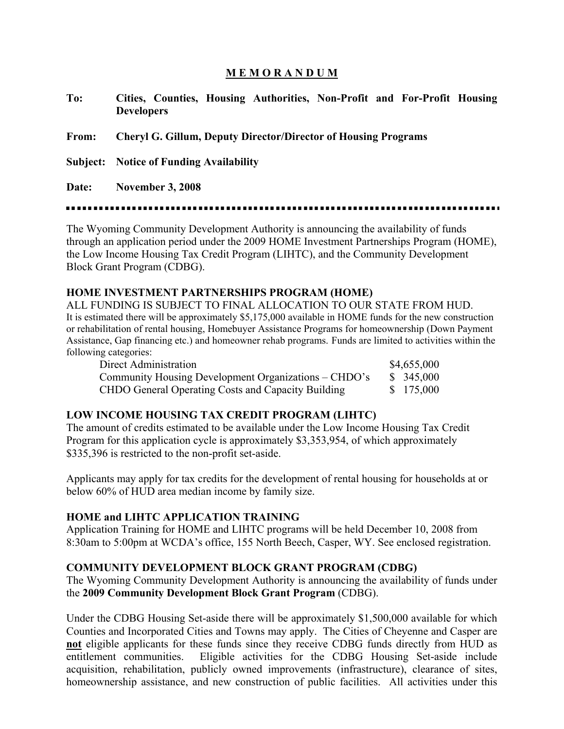## **M E M O R A N D U M**

| To:                                                                                                                                                                                                                                                                  | Cities, Counties, Housing Authorities, Non-Profit and For-Profit Housing<br><b>Developers</b> |  |  |  |
|----------------------------------------------------------------------------------------------------------------------------------------------------------------------------------------------------------------------------------------------------------------------|-----------------------------------------------------------------------------------------------|--|--|--|
| From:                                                                                                                                                                                                                                                                | <b>Cheryl G. Gillum, Deputy Director/Director of Housing Programs</b>                         |  |  |  |
|                                                                                                                                                                                                                                                                      | <b>Subject:</b> Notice of Funding Availability                                                |  |  |  |
| Date:                                                                                                                                                                                                                                                                | <b>November 3, 2008</b>                                                                       |  |  |  |
| The Wyoming Community Development Authority is announcing the availability of funds<br>through an application period under the 2009 HOME Investment Partnerships Program (HOME),<br>the Low Income Housing Tax Credit Program (LIHTC), and the Community Development |                                                                                               |  |  |  |

Block Grant Program (CDBG).

#### **HOME INVESTMENT PARTNERSHIPS PROGRAM (HOME)**

ALL FUNDING IS SUBJECT TO FINAL ALLOCATION TO OUR STATE FROM HUD. It is estimated there will be approximately \$5,175,000 available in HOME funds for the new construction or rehabilitation of rental housing, Homebuyer Assistance Programs for homeownership (Down Payment Assistance, Gap financing etc.) and homeowner rehab programs. Funds are limited to activities within the following categories:

| Direct Administration                                | \$4,655,000 |
|------------------------------------------------------|-------------|
| Community Housing Development Organizations – CHDO's | \$345,000   |
| CHDO General Operating Costs and Capacity Building   | \$175,000   |

### **LOW INCOME HOUSING TAX CREDIT PROGRAM (LIHTC)**

The amount of credits estimated to be available under the Low Income Housing Tax Credit Program for this application cycle is approximately \$3,353,954, of which approximately \$335,396 is restricted to the non-profit set-aside.

Applicants may apply for tax credits for the development of rental housing for households at or below 60% of HUD area median income by family size.

### **HOME and LIHTC APPLICATION TRAINING**

Application Training for HOME and LIHTC programs will be held December 10, 2008 from 8:30am to 5:00pm at WCDA's office, 155 North Beech, Casper, WY. See enclosed registration.

### **COMMUNITY DEVELOPMENT BLOCK GRANT PROGRAM (CDBG)**

The Wyoming Community Development Authority is announcing the availability of funds under the **2009 Community Development Block Grant Program** (CDBG).

Under the CDBG Housing Set-aside there will be approximately \$1,500,000 available for which Counties and Incorporated Cities and Towns may apply. The Cities of Cheyenne and Casper are **not** eligible applicants for these funds since they receive CDBG funds directly from HUD as entitlement communities. Eligible activities for the CDBG Housing Set-aside include acquisition, rehabilitation, publicly owned improvements (infrastructure), clearance of sites, homeownership assistance, and new construction of public facilities. All activities under this